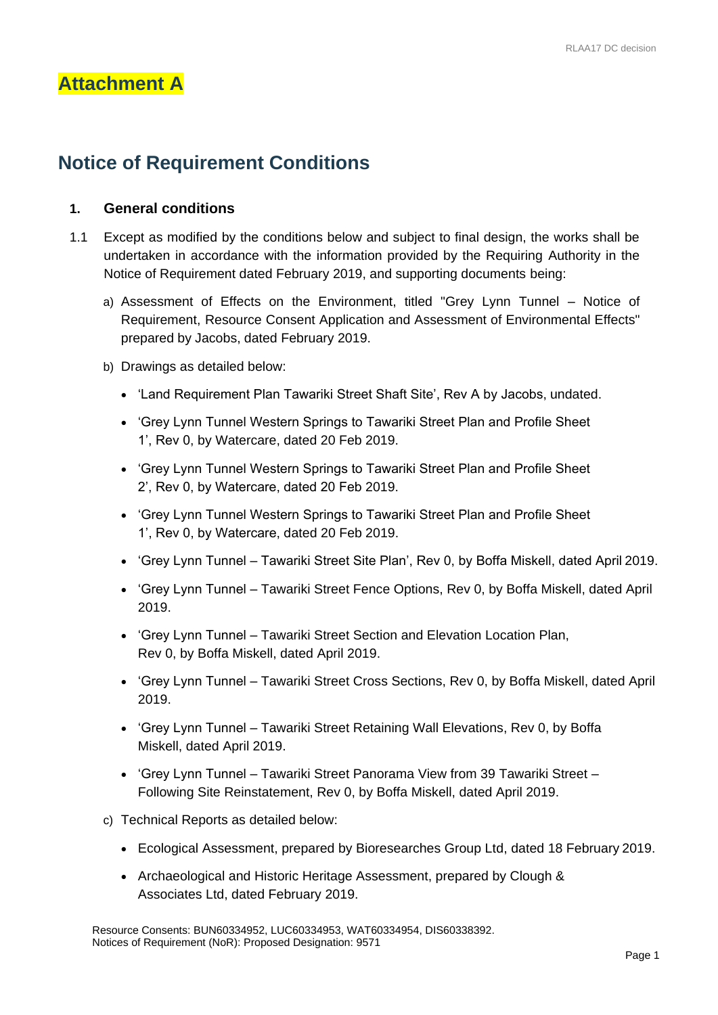## **Attachment A**

# **Notice of Requirement Conditions**

## **1. General conditions**

- 1.1 Except as modified by the conditions below and subject to final design, the works shall be undertaken in accordance with the information provided by the Requiring Authority in the Notice of Requirement dated February 2019, and supporting documents being:
	- a) Assessment of Effects on the Environment, titled "Grey Lynn Tunnel Notice of Requirement, Resource Consent Application and Assessment of Environmental Effects" prepared by Jacobs, dated February 2019.
	- b) Drawings as detailed below:
		- 'Land Requirement Plan Tawariki Street Shaft Site', Rev A by Jacobs, undated.
		- 'Grey Lynn Tunnel Western Springs to Tawariki Street Plan and Profile Sheet 1', Rev 0, by Watercare, dated 20 Feb 2019.
		- 'Grey Lynn Tunnel Western Springs to Tawariki Street Plan and Profile Sheet 2', Rev 0, by Watercare, dated 20 Feb 2019.
		- 'Grey Lynn Tunnel Western Springs to Tawariki Street Plan and Profile Sheet 1', Rev 0, by Watercare, dated 20 Feb 2019.
		- 'Grey Lynn Tunnel Tawariki Street Site Plan', Rev 0, by Boffa Miskell, dated April 2019.
		- 'Grey Lynn Tunnel Tawariki Street Fence Options, Rev 0, by Boffa Miskell, dated April 2019.
		- 'Grey Lynn Tunnel Tawariki Street Section and Elevation Location Plan, Rev 0, by Boffa Miskell, dated April 2019.
		- 'Grey Lynn Tunnel Tawariki Street Cross Sections, Rev 0, by Boffa Miskell, dated April 2019.
		- 'Grey Lynn Tunnel Tawariki Street Retaining Wall Elevations, Rev 0, by Boffa Miskell, dated April 2019.
		- 'Grey Lynn Tunnel Tawariki Street Panorama View from 39 Tawariki Street Following Site Reinstatement, Rev 0, by Boffa Miskell, dated April 2019.
	- c) Technical Reports as detailed below:
		- Ecological Assessment, prepared by Bioresearches Group Ltd, dated 18 February 2019.
		- Archaeological and Historic Heritage Assessment, prepared by Clough & Associates Ltd, dated February 2019.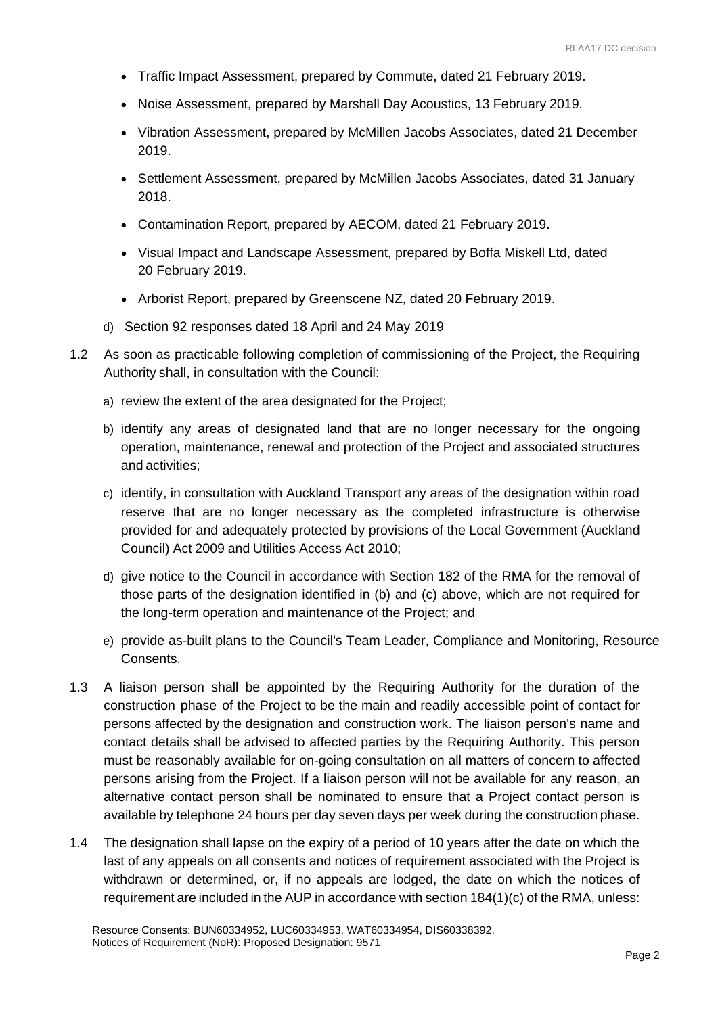- Traffic Impact Assessment, prepared by Commute, dated 21 February 2019.
- Noise Assessment, prepared by Marshall Day Acoustics, 13 February 2019.
- Vibration Assessment, prepared by McMillen Jacobs Associates, dated 21 December 2019.
- Settlement Assessment, prepared by McMillen Jacobs Associates, dated 31 January 2018.
- Contamination Report, prepared by AECOM, dated 21 February 2019.
- Visual Impact and Landscape Assessment, prepared by Boffa Miskell Ltd, dated 20 February 2019.
- Arborist Report, prepared by Greenscene NZ, dated 20 February 2019.
- d) Section 92 responses dated 18 April and 24 May 2019
- 1.2 As soon as practicable following completion of commissioning of the Project, the Requiring Authority shall, in consultation with the Council:
	- a) review the extent of the area designated for the Project;
	- b) identify any areas of designated land that are no longer necessary for the ongoing operation, maintenance, renewal and protection of the Project and associated structures and activities;
	- c) identify, in consultation with Auckland Transport any areas of the designation within road reserve that are no longer necessary as the completed infrastructure is otherwise provided for and adequately protected by provisions of the Local Government (Auckland Council) Act 2009 and Utilities Access Act 2010;
	- d) give notice to the Council in accordance with Section 182 of the RMA for the removal of those parts of the designation identified in (b) and (c) above, which are not required for the long-term operation and maintenance of the Project; and
	- e) provide as-built plans to the Council's Team Leader, Compliance and Monitoring, Resource Consents.
- 1.3 A liaison person shall be appointed by the Requiring Authority for the duration of the construction phase of the Project to be the main and readily accessible point of contact for persons affected by the designation and construction work. The liaison person's name and contact details shall be advised to affected parties by the Requiring Authority. This person must be reasonably available for on-going consultation on all matters of concern to affected persons arising from the Project. If a liaison person will not be available for any reason, an alternative contact person shall be nominated to ensure that a Project contact person is available by telephone 24 hours per day seven days per week during the construction phase.
- 1.4 The designation shall lapse on the expiry of a period of 10 years after the date on which the last of any appeals on all consents and notices of requirement associated with the Project is withdrawn or determined, or, if no appeals are lodged, the date on which the notices of requirement are included in the AUP in accordance with section 184(1)(c) of the RMA, unless: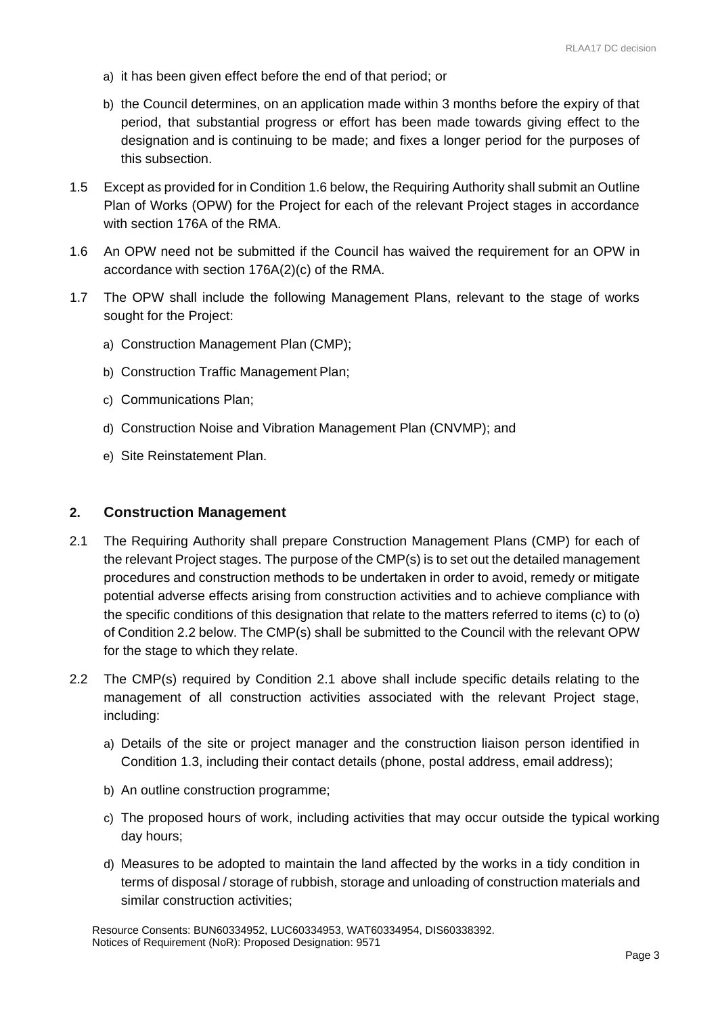- a) it has been given effect before the end of that period; or
- b) the Council determines, on an application made within 3 months before the expiry of that period, that substantial progress or effort has been made towards giving effect to the designation and is continuing to be made; and fixes a longer period for the purposes of this subsection.
- 1.5 Except as provided for in Condition 1.6 below, the Requiring Authority shall submit an Outline Plan of Works (OPW) for the Project for each of the relevant Project stages in accordance with section 176A of the RMA.
- 1.6 An OPW need not be submitted if the Council has waived the requirement for an OPW in accordance with section 176A(2)(c) of the RMA.
- 1.7 The OPW shall include the following Management Plans, relevant to the stage of works sought for the Project:
	- a) Construction Management Plan (CMP);
	- b) Construction Traffic Management Plan;
	- c) Communications Plan;
	- d) Construction Noise and Vibration Management Plan (CNVMP); and
	- e) Site Reinstatement Plan.

#### **2. Construction Management**

- 2.1 The Requiring Authority shall prepare Construction Management Plans (CMP) for each of the relevant Project stages. The purpose of the CMP(s) is to set out the detailed management procedures and construction methods to be undertaken in order to avoid, remedy or mitigate potential adverse effects arising from construction activities and to achieve compliance with the specific conditions of this designation that relate to the matters referred to items (c) to (o) of Condition 2.2 below. The CMP(s) shall be submitted to the Council with the relevant OPW for the stage to which they relate.
- 2.2 The CMP(s) required by Condition 2.1 above shall include specific details relating to the management of all construction activities associated with the relevant Project stage, including:
	- a) Details of the site or project manager and the construction liaison person identified in Condition 1.3, including their contact details (phone, postal address, email address);
	- b) An outline construction programme;
	- c) The proposed hours of work, including activities that may occur outside the typical working day hours;
	- d) Measures to be adopted to maintain the land affected by the works in a tidy condition in terms of disposal / storage of rubbish, storage and unloading of construction materials and similar construction activities;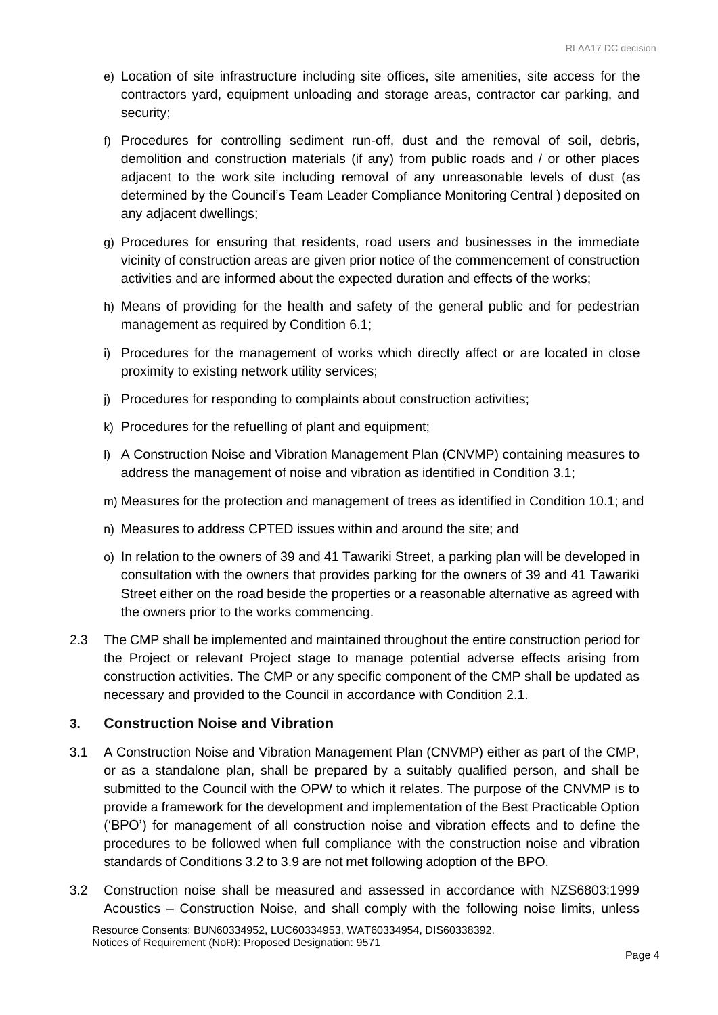- e) Location of site infrastructure including site offices, site amenities, site access for the contractors yard, equipment unloading and storage areas, contractor car parking, and security;
- f) Procedures for controlling sediment run-off, dust and the removal of soil, debris, demolition and construction materials (if any) from public roads and / or other places adjacent to the work site including removal of any unreasonable levels of dust (as determined by the Council's Team Leader Compliance Monitoring Central ) deposited on any adjacent dwellings;
- g) Procedures for ensuring that residents, road users and businesses in the immediate vicinity of construction areas are given prior notice of the commencement of construction activities and are informed about the expected duration and effects of the works;
- h) Means of providing for the health and safety of the general public and for pedestrian management as required by Condition 6.1;
- i) Procedures for the management of works which directly affect or are located in close proximity to existing network utility services;
- j) Procedures for responding to complaints about construction activities;
- k) Procedures for the refuelling of plant and equipment;
- l) A Construction Noise and Vibration Management Plan (CNVMP) containing measures to address the management of noise and vibration as identified in Condition 3.1;
- m) Measures for the protection and management of trees as identified in Condition 10.1; and
- n) Measures to address CPTED issues within and around the site; and
- o) In relation to the owners of 39 and 41 Tawariki Street, a parking plan will be developed in consultation with the owners that provides parking for the owners of 39 and 41 Tawariki Street either on the road beside the properties or a reasonable alternative as agreed with the owners prior to the works commencing.
- 2.3 The CMP shall be implemented and maintained throughout the entire construction period for the Project or relevant Project stage to manage potential adverse effects arising from construction activities. The CMP or any specific component of the CMP shall be updated as necessary and provided to the Council in accordance with Condition 2.1.

## **3. Construction Noise and Vibration**

- 3.1 A Construction Noise and Vibration Management Plan (CNVMP) either as part of the CMP, or as a standalone plan, shall be prepared by a suitably qualified person, and shall be submitted to the Council with the OPW to which it relates. The purpose of the CNVMP is to provide a framework for the development and implementation of the Best Practicable Option ('BPO') for management of all construction noise and vibration effects and to define the procedures to be followed when full compliance with the construction noise and vibration standards of Conditions 3.2 to 3.9 are not met following adoption of the BPO.
- 3.2 Construction noise shall be measured and assessed in accordance with NZS6803:1999 Acoustics – Construction Noise, and shall comply with the following noise limits, unless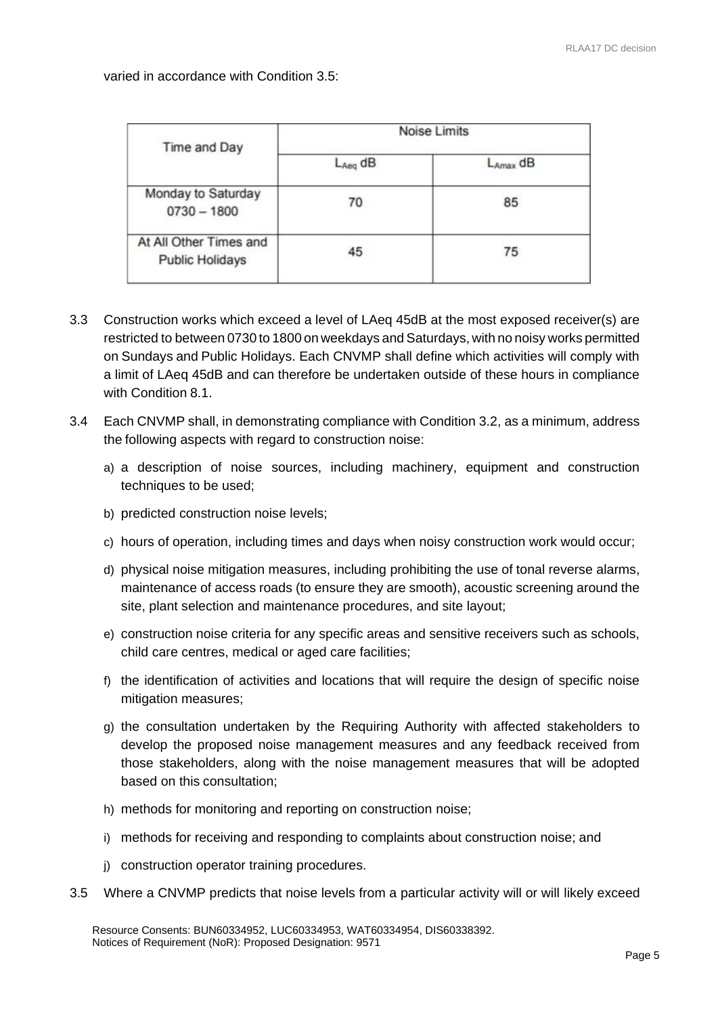varied in accordance with Condition 3.5:

| Time and Day                                     | <b>Noise Limits</b> |               |
|--------------------------------------------------|---------------------|---------------|
|                                                  | $L_{Aeq}$ dB        | $L_{Amax}$ dB |
| Monday to Saturday<br>$0730 - 1800$              | 70                  | 85            |
| At All Other Times and<br><b>Public Holidays</b> | 45                  | 75            |

- 3.3 Construction works which exceed a level of LAeq 45dB at the most exposed receiver(s) are restricted to between 0730 to 1800 on weekdays and Saturdays, with no noisy works permitted on Sundays and Public Holidays. Each CNVMP shall define which activities will comply with a limit of LAeq 45dB and can therefore be undertaken outside of these hours in compliance with Condition 8.1.
- 3.4 Each CNVMP shall, in demonstrating compliance with Condition 3.2, as a minimum, address the following aspects with regard to construction noise:
	- a) a description of noise sources, including machinery, equipment and construction techniques to be used;
	- b) predicted construction noise levels;
	- c) hours of operation, including times and days when noisy construction work would occur;
	- d) physical noise mitigation measures, including prohibiting the use of tonal reverse alarms, maintenance of access roads (to ensure they are smooth), acoustic screening around the site, plant selection and maintenance procedures, and site layout;
	- e) construction noise criteria for any specific areas and sensitive receivers such as schools, child care centres, medical or aged care facilities;
	- f) the identification of activities and locations that will require the design of specific noise mitigation measures;
	- g) the consultation undertaken by the Requiring Authority with affected stakeholders to develop the proposed noise management measures and any feedback received from those stakeholders, along with the noise management measures that will be adopted based on this consultation;
	- h) methods for monitoring and reporting on construction noise;
	- i) methods for receiving and responding to complaints about construction noise; and
	- j) construction operator training procedures.
- 3.5 Where a CNVMP predicts that noise levels from a particular activity will or will likely exceed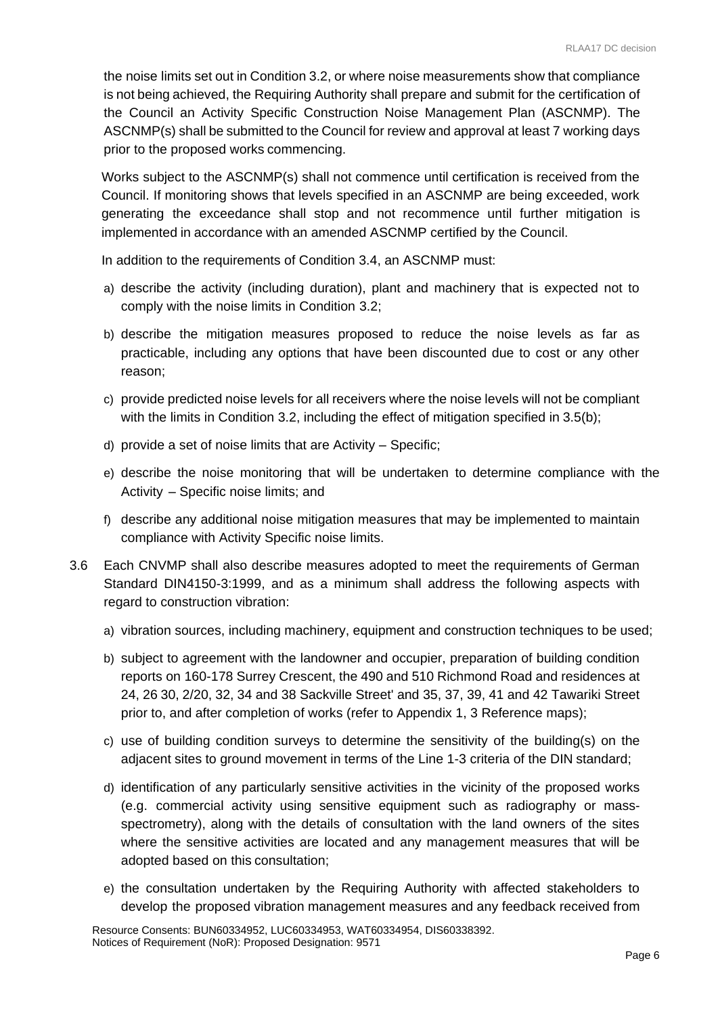the noise limits set out in Condition 3.2, or where noise measurements show that compliance is not being achieved, the Requiring Authority shall prepare and submit for the certification of the Council an Activity Specific Construction Noise Management Plan (ASCNMP). The ASCNMP(s) shall be submitted to the Council for review and approval at least 7 working days prior to the proposed works commencing.

Works subject to the ASCNMP(s) shall not commence until certification is received from the Council. If monitoring shows that levels specified in an ASCNMP are being exceeded, work generating the exceedance shall stop and not recommence until further mitigation is implemented in accordance with an amended ASCNMP certified by the Council.

In addition to the requirements of Condition 3.4, an ASCNMP must:

- a) describe the activity (including duration), plant and machinery that is expected not to comply with the noise limits in Condition 3.2;
- b) describe the mitigation measures proposed to reduce the noise levels as far as practicable, including any options that have been discounted due to cost or any other reason;
- c) provide predicted noise levels for all receivers where the noise levels will not be compliant with the limits in Condition 3.2, including the effect of mitigation specified in 3.5(b);
- d) provide a set of noise limits that are Activity Specific;
- e) describe the noise monitoring that will be undertaken to determine compliance with the Activity – Specific noise limits; and
- f) describe any additional noise mitigation measures that may be implemented to maintain compliance with Activity Specific noise limits.
- 3.6 Each CNVMP shall also describe measures adopted to meet the requirements of German Standard DIN4150-3:1999, and as a minimum shall address the following aspects with regard to construction vibration:
	- a) vibration sources, including machinery, equipment and construction techniques to be used;
	- b) subject to agreement with the landowner and occupier, preparation of building condition reports on 160-178 Surrey Crescent, the 490 and 510 Richmond Road and residences at 24, 26 30, 2/20, 32, 34 and 38 Sackville Street' and 35, 37, 39, 41 and 42 Tawariki Street prior to, and after completion of works (refer to Appendix 1, 3 Reference maps);
	- c) use of building condition surveys to determine the sensitivity of the building(s) on the adjacent sites to ground movement in terms of the Line 1-3 criteria of the DIN standard;
	- d) identification of any particularly sensitive activities in the vicinity of the proposed works (e.g. commercial activity using sensitive equipment such as radiography or massspectrometry), along with the details of consultation with the land owners of the sites where the sensitive activities are located and any management measures that will be adopted based on this consultation;
	- e) the consultation undertaken by the Requiring Authority with affected stakeholders to develop the proposed vibration management measures and any feedback received from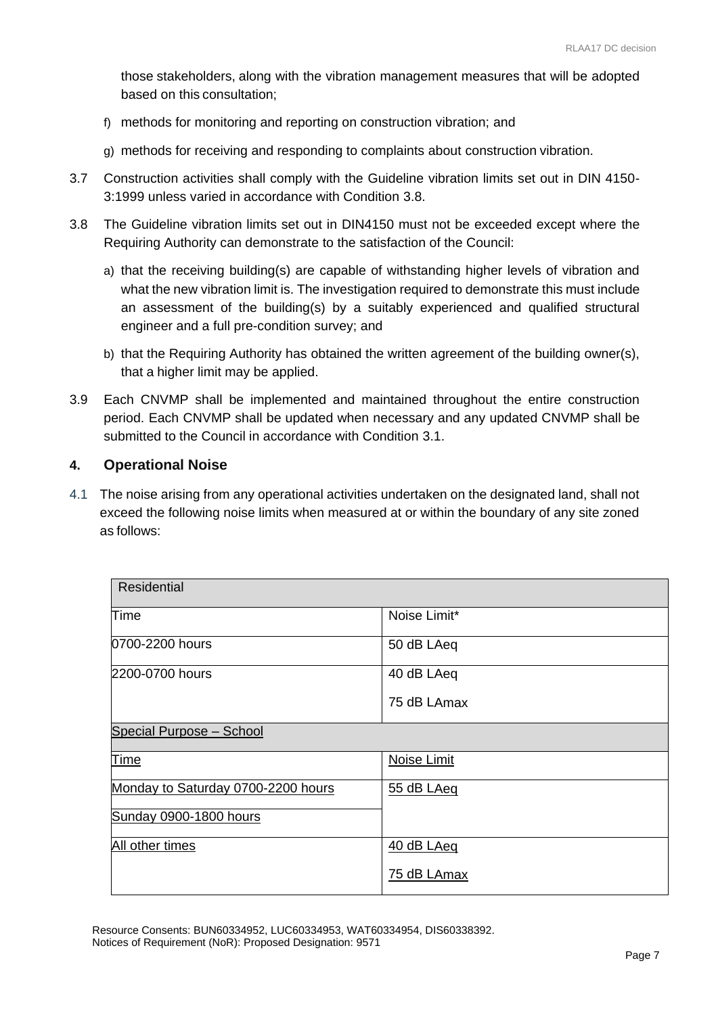those stakeholders, along with the vibration management measures that will be adopted based on this consultation;

- f) methods for monitoring and reporting on construction vibration; and
- g) methods for receiving and responding to complaints about construction vibration.
- 3.7 Construction activities shall comply with the Guideline vibration limits set out in DIN 4150- 3:1999 unless varied in accordance with Condition 3.8.
- 3.8 The Guideline vibration limits set out in DIN4150 must not be exceeded except where the Requiring Authority can demonstrate to the satisfaction of the Council:
	- a) that the receiving building(s) are capable of withstanding higher levels of vibration and what the new vibration limit is. The investigation required to demonstrate this must include an assessment of the building(s) by a suitably experienced and qualified structural engineer and a full pre-condition survey; and
	- b) that the Requiring Authority has obtained the written agreement of the building owner(s), that a higher limit may be applied.
- 3.9 Each CNVMP shall be implemented and maintained throughout the entire construction period. Each CNVMP shall be updated when necessary and any updated CNVMP shall be submitted to the Council in accordance with Condition 3.1.

#### **4. Operational Noise**

4.1 The noise arising from any operational activities undertaken on the designated land, shall not exceed the following noise limits when measured at or within the boundary of any site zoned as follows:

| <b>Residential</b>                 |              |  |
|------------------------------------|--------------|--|
| Time                               | Noise Limit* |  |
| 0700-2200 hours                    | 50 dB LAeq   |  |
| 2200-0700 hours                    | 40 dB LAeq   |  |
|                                    | 75 dB LAmax  |  |
| Special Purpose - School           |              |  |
| Time                               | Noise Limit  |  |
| Monday to Saturday 0700-2200 hours | 55 dB LAeq   |  |
| Sunday 0900-1800 hours             |              |  |
| All other times                    | 40 dB LAeq   |  |
|                                    | 75 dB LAmax  |  |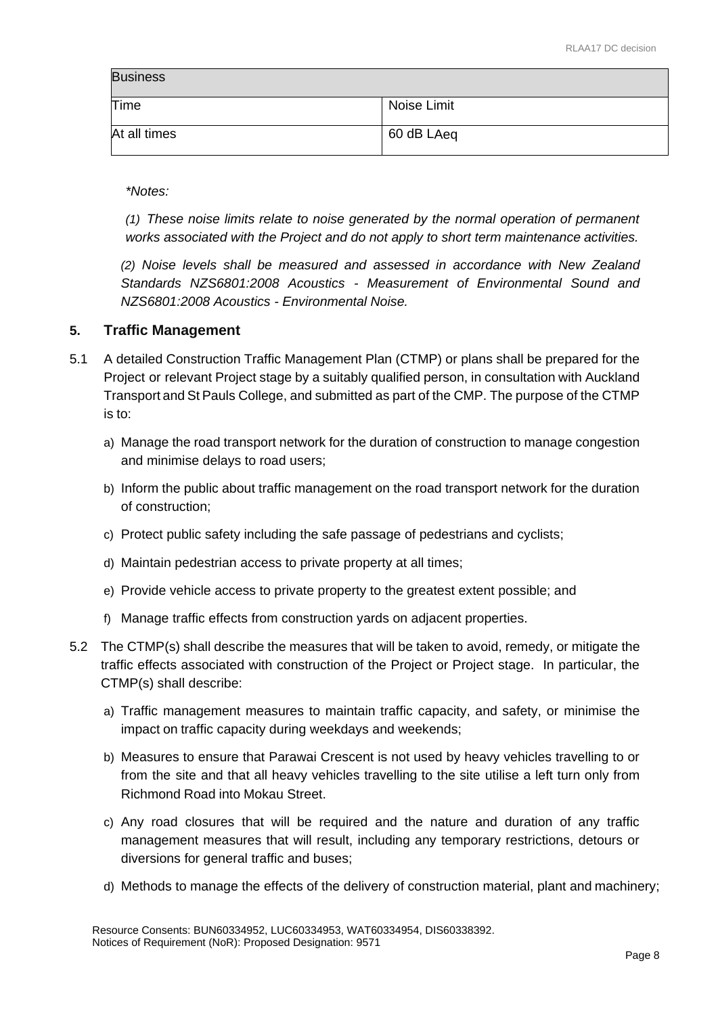| <b>Business</b> |             |
|-----------------|-------------|
| Time            | Noise Limit |
| At all times    | 60 dB LAeq  |

*\*Notes:*

*(1) These noise limits relate to noise generated by the normal operation of permanent works associated with the Project and do not apply to short term maintenance activities.*

*(2) Noise levels shall be measured and assessed in accordance with New Zealand Standards NZS6801:2008 Acoustics - Measurement of Environmental Sound and NZS6801:2008 Acoustics - Environmental Noise.*

#### **5. Traffic Management**

- 5.1 A detailed Construction Traffic Management Plan (CTMP) or plans shall be prepared for the Project or relevant Project stage by a suitably qualified person, in consultation with Auckland Transport and St Pauls College, and submitted as part of the CMP. The purpose of the CTMP is to:
	- a) Manage the road transport network for the duration of construction to manage congestion and minimise delays to road users;
	- b) Inform the public about traffic management on the road transport network for the duration of construction;
	- c) Protect public safety including the safe passage of pedestrians and cyclists;
	- d) Maintain pedestrian access to private property at all times;
	- e) Provide vehicle access to private property to the greatest extent possible; and
	- f) Manage traffic effects from construction yards on adjacent properties.
- 5.2 The CTMP(s) shall describe the measures that will be taken to avoid, remedy, or mitigate the traffic effects associated with construction of the Project or Project stage. In particular, the CTMP(s) shall describe:
	- a) Traffic management measures to maintain traffic capacity, and safety, or minimise the impact on traffic capacity during weekdays and weekends;
	- b) Measures to ensure that Parawai Crescent is not used by heavy vehicles travelling to or from the site and that all heavy vehicles travelling to the site utilise a left turn only from Richmond Road into Mokau Street.
	- c) Any road closures that will be required and the nature and duration of any traffic management measures that will result, including any temporary restrictions, detours or diversions for general traffic and buses;
	- d) Methods to manage the effects of the delivery of construction material, plant and machinery;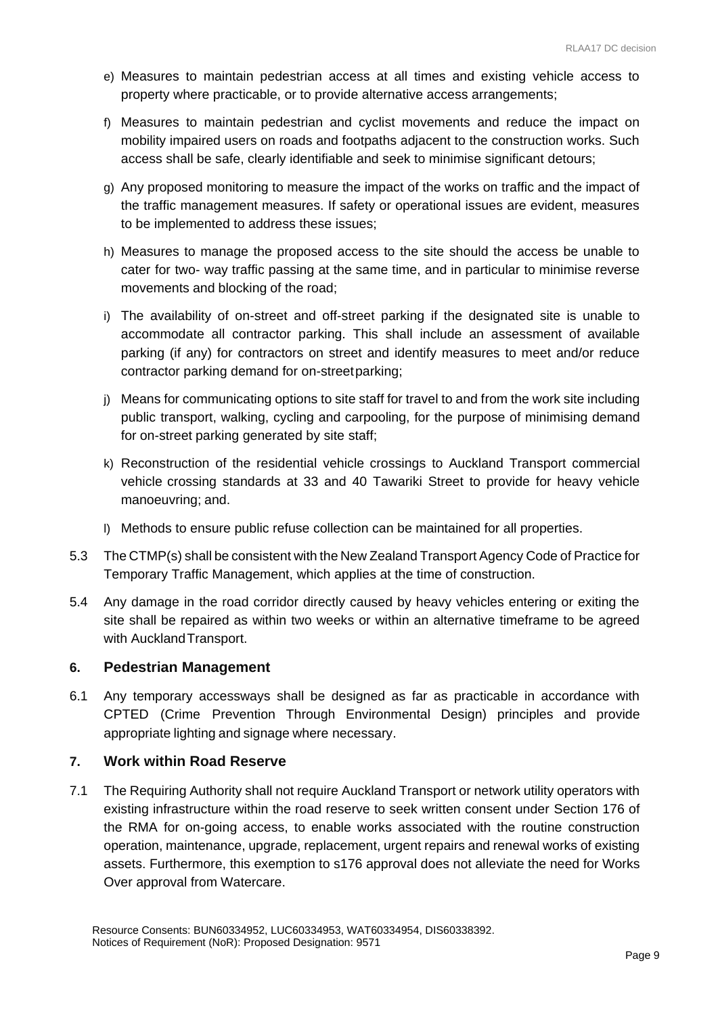- e) Measures to maintain pedestrian access at all times and existing vehicle access to property where practicable, or to provide alternative access arrangements;
- f) Measures to maintain pedestrian and cyclist movements and reduce the impact on mobility impaired users on roads and footpaths adjacent to the construction works. Such access shall be safe, clearly identifiable and seek to minimise significant detours;
- g) Any proposed monitoring to measure the impact of the works on traffic and the impact of the traffic management measures. If safety or operational issues are evident, measures to be implemented to address these issues;
- h) Measures to manage the proposed access to the site should the access be unable to cater for two- way traffic passing at the same time, and in particular to minimise reverse movements and blocking of the road;
- i) The availability of on-street and off-street parking if the designated site is unable to accommodate all contractor parking. This shall include an assessment of available parking (if any) for contractors on street and identify measures to meet and/or reduce contractor parking demand for on-streetparking;
- j) Means for communicating options to site staff for travel to and from the work site including public transport, walking, cycling and carpooling, for the purpose of minimising demand for on-street parking generated by site staff;
- k) Reconstruction of the residential vehicle crossings to Auckland Transport commercial vehicle crossing standards at 33 and 40 Tawariki Street to provide for heavy vehicle manoeuvring; and.
- l) Methods to ensure public refuse collection can be maintained for all properties.
- 5.3 The CTMP(s) shall be consistent with the New Zealand Transport Agency Code of Practice for Temporary Traffic Management, which applies at the time of construction.
- 5.4 Any damage in the road corridor directly caused by heavy vehicles entering or exiting the site shall be repaired as within two weeks or within an alternative timeframe to be agreed with Auckland Transport.

## **6. Pedestrian Management**

6.1 Any temporary accessways shall be designed as far as practicable in accordance with CPTED (Crime Prevention Through Environmental Design) principles and provide appropriate lighting and signage where necessary.

## **7. Work within Road Reserve**

7.1 The Requiring Authority shall not require Auckland Transport or network utility operators with existing infrastructure within the road reserve to seek written consent under Section 176 of the RMA for on-going access, to enable works associated with the routine construction operation, maintenance, upgrade, replacement, urgent repairs and renewal works of existing assets. Furthermore, this exemption to s176 approval does not alleviate the need for Works Over approval from Watercare.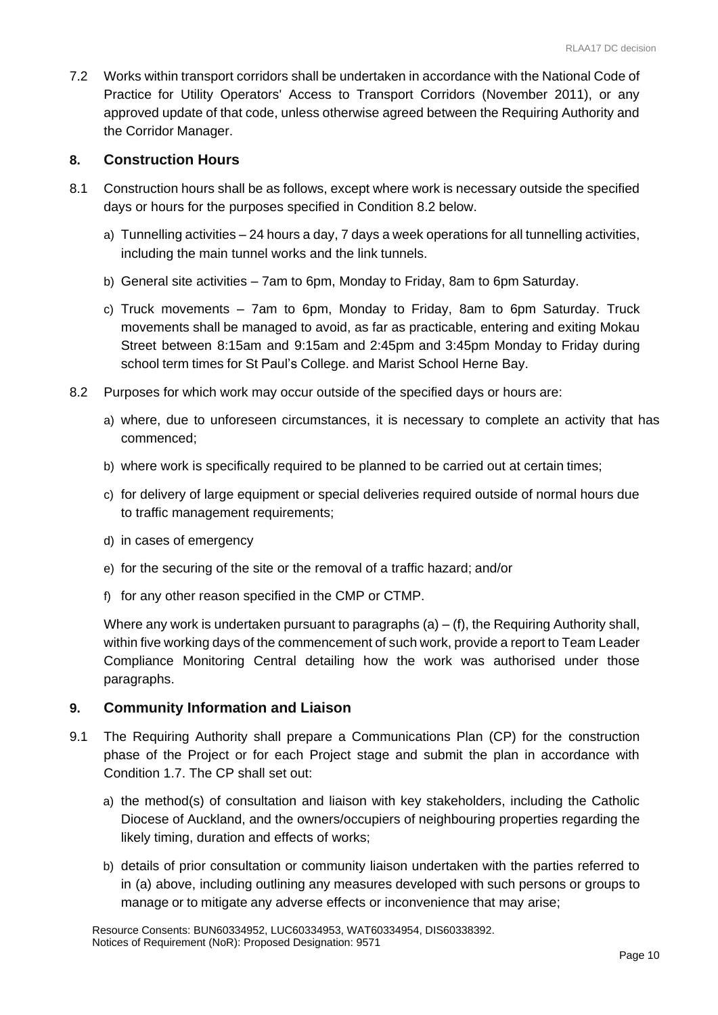7.2 Works within transport corridors shall be undertaken in accordance with the National Code of Practice for Utility Operators' Access to Transport Corridors (November 2011), or any approved update of that code, unless otherwise agreed between the Requiring Authority and the Corridor Manager.

#### **8. Construction Hours**

- 8.1 Construction hours shall be as follows, except where work is necessary outside the specified days or hours for the purposes specified in Condition 8.2 below.
	- a) Tunnelling activities 24 hours a day, 7 days a week operations for all tunnelling activities, including the main tunnel works and the link tunnels.
	- b) General site activities 7am to 6pm, Monday to Friday, 8am to 6pm Saturday.
	- c) Truck movements 7am to 6pm, Monday to Friday, 8am to 6pm Saturday. Truck movements shall be managed to avoid, as far as practicable, entering and exiting Mokau Street between 8:15am and 9:15am and 2:45pm and 3:45pm Monday to Friday during school term times for St Paul's College. and Marist School Herne Bay.
- 8.2 Purposes for which work may occur outside of the specified days or hours are:
	- a) where, due to unforeseen circumstances, it is necessary to complete an activity that has commenced;
	- b) where work is specifically required to be planned to be carried out at certain times;
	- c) for delivery of large equipment or special deliveries required outside of normal hours due to traffic management requirements;
	- d) in cases of emergency
	- e) for the securing of the site or the removal of a traffic hazard; and/or
	- f) for any other reason specified in the CMP or CTMP.

Where any work is undertaken pursuant to paragraphs  $(a) - (f)$ , the Requiring Authority shall, within five working days of the commencement of such work, provide a report to Team Leader Compliance Monitoring Central detailing how the work was authorised under those paragraphs.

#### **9. Community Information and Liaison**

- 9.1 The Requiring Authority shall prepare a Communications Plan (CP) for the construction phase of the Project or for each Project stage and submit the plan in accordance with Condition 1.7. The CP shall set out:
	- a) the method(s) of consultation and liaison with key stakeholders, including the Catholic Diocese of Auckland, and the owners/occupiers of neighbouring properties regarding the likely timing, duration and effects of works;
	- b) details of prior consultation or community liaison undertaken with the parties referred to in (a) above, including outlining any measures developed with such persons or groups to manage or to mitigate any adverse effects or inconvenience that may arise;

Resource Consents: BUN60334952, LUC60334953, WAT60334954, DIS60338392. Notices of Requirement (NoR): Proposed Designation: 9571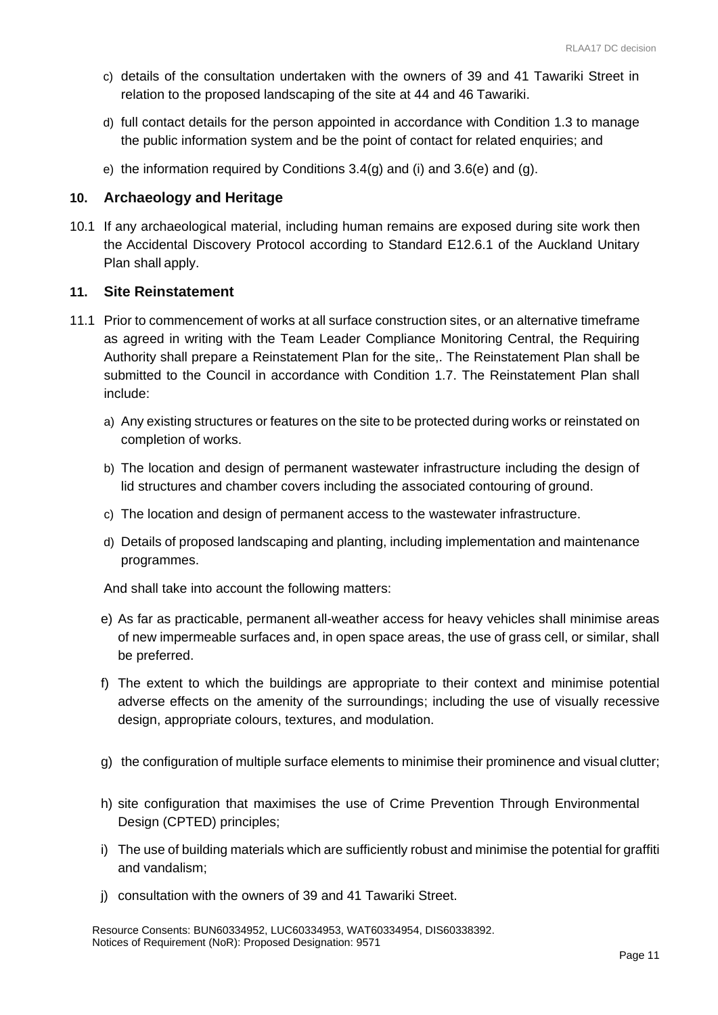- c) details of the consultation undertaken with the owners of 39 and 41 Tawariki Street in relation to the proposed landscaping of the site at 44 and 46 Tawariki.
- d) full contact details for the person appointed in accordance with Condition 1.3 to manage the public information system and be the point of contact for related enquiries; and
- e) the information required by Conditions  $3.4(q)$  and  $(i)$  and  $3.6(e)$  and  $(q)$ .

#### **10. Archaeology and Heritage**

10.1 If any archaeological material, including human remains are exposed during site work then the Accidental Discovery Protocol according to Standard E12.6.1 of the Auckland Unitary Plan shall apply.

#### **11. Site Reinstatement**

- 11.1 Prior to commencement of works at all surface construction sites, or an alternative timeframe as agreed in writing with the Team Leader Compliance Monitoring Central, the Requiring Authority shall prepare a Reinstatement Plan for the site,. The Reinstatement Plan shall be submitted to the Council in accordance with Condition 1.7. The Reinstatement Plan shall include:
	- a) Any existing structures or features on the site to be protected during works or reinstated on completion of works.
	- b) The location and design of permanent wastewater infrastructure including the design of lid structures and chamber covers including the associated contouring of ground.
	- c) The location and design of permanent access to the wastewater infrastructure.
	- d) Details of proposed landscaping and planting, including implementation and maintenance programmes.

And shall take into account the following matters:

- e) As far as practicable, permanent all-weather access for heavy vehicles shall minimise areas of new impermeable surfaces and, in open space areas, the use of grass cell, or similar, shall be preferred.
- f) The extent to which the buildings are appropriate to their context and minimise potential adverse effects on the amenity of the surroundings; including the use of visually recessive design, appropriate colours, textures, and modulation.
- g) the configuration of multiple surface elements to minimise their prominence and visual clutter;
- h) site configuration that maximises the use of Crime Prevention Through Environmental Design (CPTED) principles;
- i) The use of building materials which are sufficiently robust and minimise the potential for graffiti and vandalism;
- j) consultation with the owners of 39 and 41 Tawariki Street.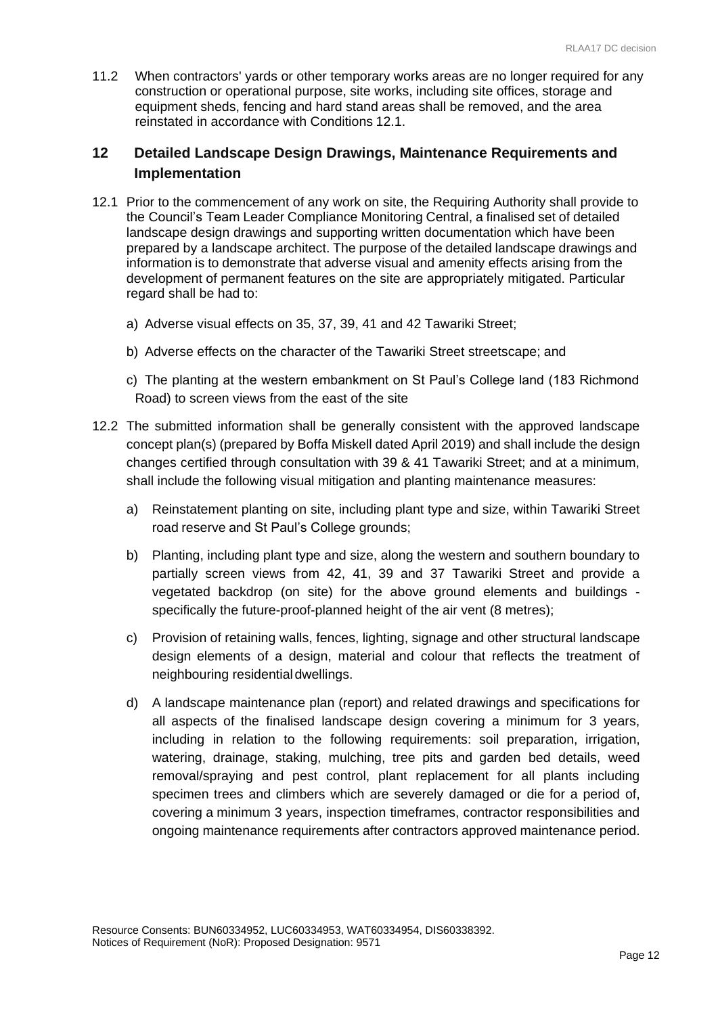11.2 When contractors' yards or other temporary works areas are no longer required for any construction or operational purpose, site works, including site offices, storage and equipment sheds, fencing and hard stand areas shall be removed, and the area reinstated in accordance with Conditions 12.1.

## **12 Detailed Landscape Design Drawings, Maintenance Requirements and Implementation**

- 12.1 Prior to the commencement of any work on site, the Requiring Authority shall provide to the Council's Team Leader Compliance Monitoring Central, a finalised set of detailed landscape design drawings and supporting written documentation which have been prepared by a landscape architect. The purpose of the detailed landscape drawings and information is to demonstrate that adverse visual and amenity effects arising from the development of permanent features on the site are appropriately mitigated. Particular regard shall be had to:
	- a) Adverse visual effects on 35, 37, 39, 41 and 42 Tawariki Street;
	- b) Adverse effects on the character of the Tawariki Street streetscape; and
	- c) The planting at the western embankment on St Paul's College land (183 Richmond Road) to screen views from the east of the site
- 12.2 The submitted information shall be generally consistent with the approved landscape concept plan(s) (prepared by Boffa Miskell dated April 2019) and shall include the design changes certified through consultation with 39 & 41 Tawariki Street; and at a minimum, shall include the following visual mitigation and planting maintenance measures:
	- a) Reinstatement planting on site, including plant type and size, within Tawariki Street road reserve and St Paul's College grounds;
	- b) Planting, including plant type and size, along the western and southern boundary to partially screen views from 42, 41, 39 and 37 Tawariki Street and provide a vegetated backdrop (on site) for the above ground elements and buildings specifically the future-proof-planned height of the air vent (8 metres);
	- c) Provision of retaining walls, fences, lighting, signage and other structural landscape design elements of a design, material and colour that reflects the treatment of neighbouring residentialdwellings.
	- d) A landscape maintenance plan (report) and related drawings and specifications for all aspects of the finalised landscape design covering a minimum for 3 years, including in relation to the following requirements: soil preparation, irrigation, watering, drainage, staking, mulching, tree pits and garden bed details, weed removal/spraying and pest control, plant replacement for all plants including specimen trees and climbers which are severely damaged or die for a period of, covering a minimum 3 years, inspection timeframes, contractor responsibilities and ongoing maintenance requirements after contractors approved maintenance period.